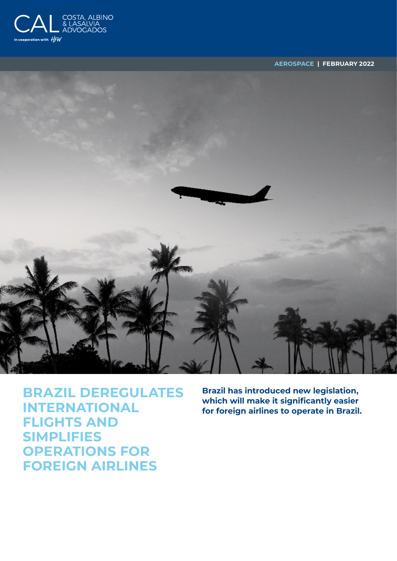

**AEROSPACE | FEBRUARY 2022**



**BRAZIL DEREGULATES INTERNATIONAL FLIGHTS AND SIMPLIFIES OPERATIONS FOR FOREIGN AIRLINES**

**Brazil has introduced new legislation, which will make it significantly easier for foreign airlines to operate in Brazil.**